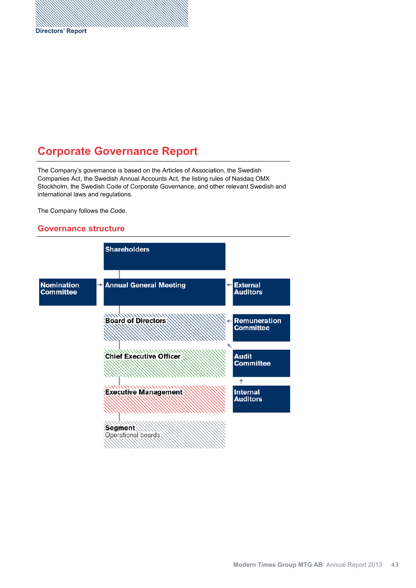# **Corporate Governance Report**

The Company's governance is based on the Articles of Association, the Swedish Companies Act, the Swedish Annual Accounts Act, the listing rules of Nasdaq OMX Stockholm, the Swedish Code of Corporate Governance, and other relevant Swedish and international laws and regulations.

The Company follows the Code.

### **Governance structure**

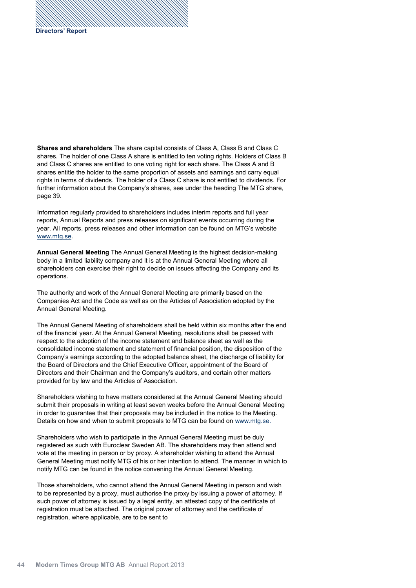**Shares and shareholders** The share capital consists of Class A, Class B and Class C shares. The holder of one Class A share is entitled to ten voting rights. Holders of Class B and Class C shares are entitled to one voting right for each share. The Class A and B shares entitle the holder to the same proportion of assets and earnings and carry equal rights in terms of dividends. The holder of a Class C share is not entitled to dividends. For further information about the Company's shares, see under the heading The MTG share, page 39.

Information regularly provided to shareholders includes interim reports and full year reports, Annual Reports and press releases on significant events occurring during the year. All reports, press releases and other information can be found on MTG's website www.mtg.se.

**Annual General Meeting** The Annual General Meeting is the highest decision-making body in a limited liability company and it is at the Annual General Meeting where all shareholders can exercise their right to decide on issues affecting the Company and its operations.

The authority and work of the Annual General Meeting are primarily based on the Companies Act and the Code as well as on the Articles of Association adopted by the Annual General Meeting.

The Annual General Meeting of shareholders shall be held within six months after the end of the financial year. At the Annual General Meeting, resolutions shall be passed with respect to the adoption of the income statement and balance sheet as well as the consolidated income statement and statement of financial position, the disposition of the Company's earnings according to the adopted balance sheet, the discharge of liability for the Board of Directors and the Chief Executive Officer, appointment of the Board of Directors and their Chairman and the Company's auditors, and certain other matters provided for by law and the Articles of Association.

Shareholders wishing to have matters considered at the Annual General Meeting should submit their proposals in writing at least seven weeks before the Annual General Meeting in order to guarantee that their proposals may be included in the notice to the Meeting. Details on how and when to submit proposals to MTG can be found on www.mtg.se.

Shareholders who wish to participate in the Annual General Meeting must be duly registered as such with Euroclear Sweden AB. The shareholders may then attend and vote at the meeting in person or by proxy. A shareholder wishing to attend the Annual General Meeting must notify MTG of his or her intention to attend. The manner in which to notify MTG can be found in the notice convening the Annual General Meeting.

Those shareholders, who cannot attend the Annual General Meeting in person and wish to be represented by a proxy, must authorise the proxy by issuing a power of attorney. If such power of attorney is issued by a legal entity, an attested copy of the certificate of registration must be attached. The original power of attorney and the certificate of registration, where applicable, are to be sent to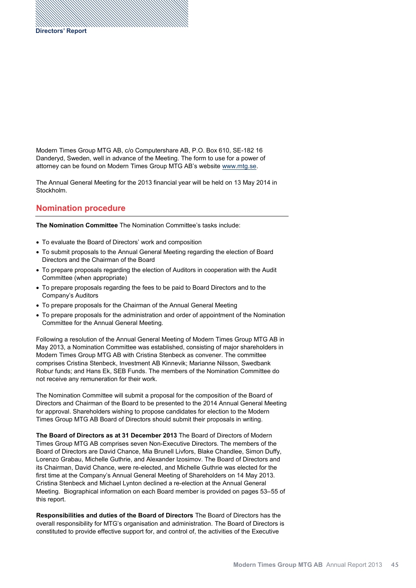Modern Times Group MTG AB, c/o Computershare AB, P.O. Box 610, SE-182 16 Danderyd, Sweden, well in advance of the Meeting. The form to use for a power of attorney can be found on Modern Times Group MTG AB's website www.mtg.se.

The Annual General Meeting for the 2013 financial year will be held on 13 May 2014 in Stockholm.

## **Nomination procedure**

**The Nomination Committee** The Nomination Committee's tasks include:

- To evaluate the Board of Directors' work and composition
- To submit proposals to the Annual General Meeting regarding the election of Board Directors and the Chairman of the Board
- To prepare proposals regarding the election of Auditors in cooperation with the Audit Committee (when appropriate)
- To prepare proposals regarding the fees to be paid to Board Directors and to the Company's Auditors
- To prepare proposals for the Chairman of the Annual General Meeting
- To prepare proposals for the administration and order of appointment of the Nomination Committee for the Annual General Meeting.

Following a resolution of the Annual General Meeting of Modern Times Group MTG AB in May 2013, a Nomination Committee was established, consisting of major shareholders in Modern Times Group MTG AB with Cristina Stenbeck as convener. The committee comprises Cristina Stenbeck, Investment AB Kinnevik; Marianne Nilsson, Swedbank Robur funds; and Hans Ek, SEB Funds. The members of the Nomination Committee do not receive any remuneration for their work.

The Nomination Committee will submit a proposal for the composition of the Board of Directors and Chairman of the Board to be presented to the 2014 Annual General Meeting for approval. Shareholders wishing to propose candidates for election to the Modern Times Group MTG AB Board of Directors should submit their proposals in writing.

**The Board of Directors as at 31 December 2013** The Board of Directors of Modern Times Group MTG AB comprises seven Non-Executive Directors. The members of the Board of Directors are David Chance, Mia Brunell Livfors, Blake Chandlee, Simon Duffy, Lorenzo Grabau, Michelle Guthrie, and Alexander Izosimov. The Board of Directors and its Chairman, David Chance, were re-elected, and Michelle Guthrie was elected for the first time at the Company's Annual General Meeting of Shareholders on 14 May 2013. Cristina Stenbeck and Michael Lynton declined a re-election at the Annual General Meeting. Biographical information on each Board member is provided on pages 53-55 of this report.

**Responsibilities and duties of the Board of Directors** The Board of Directors has the overall responsibility for MTG's organisation and administration. The Board of Directors is constituted to provide effective support for, and control of, the activities of the Executive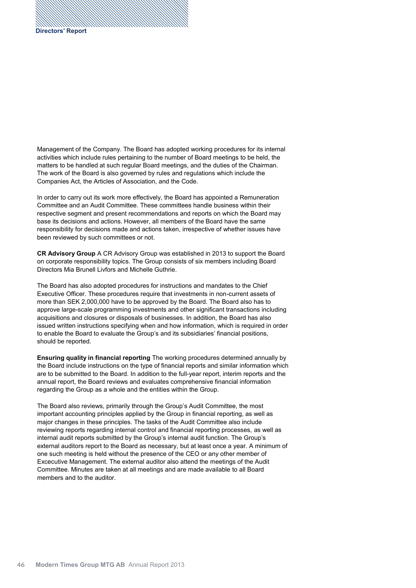Management of the Company. The Board has adopted working procedures for its internal activities which include rules pertaining to the number of Board meetings to be held, the matters to be handled at such regular Board meetings, and the duties of the Chairman. The work of the Board is also governed by rules and regulations which include the Companies Act, the Articles of Association, and the Code.

In order to carry out its work more effectively, the Board has appointed a Remuneration Committee and an Audit Committee. These committees handle business within their respective segment and present recommendations and reports on which the Board may base its decisions and actions. However, all members of the Board have the same responsibility for decisions made and actions taken, irrespective of whether issues have been reviewed by such committees or not.

**CR Advisory Group** A CR Advisory Group was established in 2013 to support the Board on corporate responsibility topics. The Group consists of six members including Board Directors Mia Brunell Livfors and Michelle Guthrie.

The Board has also adopted procedures for instructions and mandates to the Chief Executive Officer. These procedures require that investments in non-current assets of more than SEK 2,000,000 have to be approved by the Board. The Board also has to approve large-scale programming investments and other significant transactions including acquisitions and closures or disposals of businesses. In addition, the Board has also issued written instructions specifying when and how information, which is required in order to enable the Board to evaluate the Group's and its subsidiaries' financial positions, should be reported.

**Ensuring quality in financial reporting** The working procedures determined annually by the Board include instructions on the type of financial reports and similar information which are to be submitted to the Board. In addition to the full-year report, interim reports and the annual report, the Board reviews and evaluates comprehensive financial information regarding the Group as a whole and the entities within the Group.

The Board also reviews, primarily through the Group's Audit Committee, the most important accounting principles applied by the Group in financial reporting, as well as major changes in these principles. The tasks of the Audit Committee also include reviewing reports regarding internal control and financial reporting processes, as well as internal audit reports submitted by the Group's internal audit function. The Group's external auditors report to the Board as necessary, but at least once a year. A minimum of one such meeting is held without the presence of the CEO or any other member of Excecutive Management. The external auditor also attend the meetings of the Audit Committee. Minutes are taken at all meetings and are made available to all Board members and to the auditor.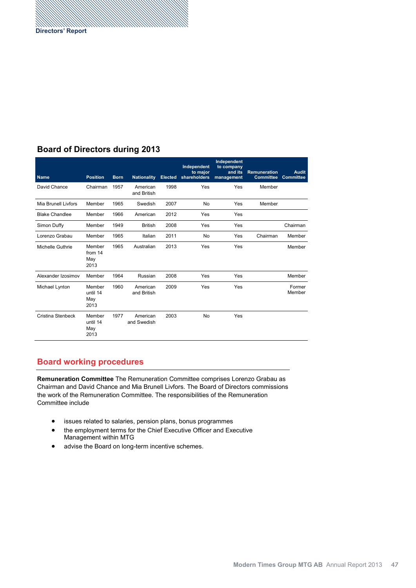## **Board of Directors during**

| <b>Name</b>           | <b>Position</b>                   | <b>Born</b> | <b>Nationality</b>      | <b>Elected</b> | Independent<br>to major<br>shareholders | Independent<br>to company<br>and its<br>management | <b>Remuneration</b><br><b>Committee</b> | <b>Audit</b><br>Committee |
|-----------------------|-----------------------------------|-------------|-------------------------|----------------|-----------------------------------------|----------------------------------------------------|-----------------------------------------|---------------------------|
| David Chance          | Chairman                          | 1957        | American<br>and British | 1998           | Yes                                     | Yes                                                | Member                                  |                           |
| Mia Brunell Livfors   | Member                            | 1965        | Swedish                 | 2007           | <b>No</b>                               | Yes                                                | Member                                  |                           |
| <b>Blake Chandlee</b> | Member                            | 1966        | American                | 2012           | Yes                                     | Yes                                                |                                         |                           |
| Simon Duffy           | Member                            | 1949        | <b>British</b>          | 2008           | Yes                                     | Yes                                                |                                         | Chairman                  |
| Lorenzo Grabau        | Member                            | 1965        | Italian                 | 2011           | <b>No</b>                               | Yes                                                | Chairman                                | Member                    |
| Michelle Guthrie      | Member<br>from 14<br>May<br>2013  | 1965        | Australian              | 2013           | Yes                                     | Yes                                                |                                         | Member                    |
| Alexander Izosimov    | Member                            | 1964        | Russian                 | 2008           | Yes                                     | Yes                                                |                                         | Member                    |
| Michael Lynton        | Member<br>until 14<br>May<br>2013 | 1960        | American<br>and British | 2009           | Yes                                     | Yes                                                |                                         | Former<br>Member          |
| Cristina Stenbeck     | Member<br>until 14<br>May<br>2013 | 1977        | American<br>and Swedish | 2003           | No                                      | Yes                                                |                                         |                           |

## **Board working procedures**

**Remuneration Committee** The Remuneration Committee comprises Lorenzo Grabau as Chairman and David Chance and Mia Brunell Livfors. The Board of Directors commissions the work of the Remuneration Committee. The responsibilities of the Remuneration Committee include

- issues related to salaries, pension plans, bonus programmes
- the employment terms for the Chief Executive Officer and Executive Management within MTG
- advise the Board on long-term incentive schemes.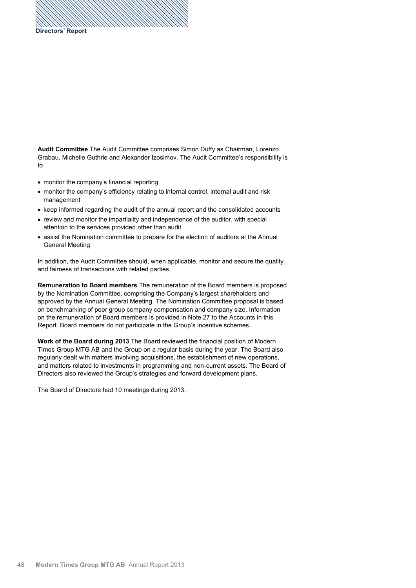**Audit Committee** The Audit Committee comprises Simon Duffy as Chairman, Lorenzo Grabau, Michelle Guthrie and Alexander Izosimov. The Audit Committee's responsibility is to

- monitor the company's financial reporting
- monitor the company's efficiency relating to internal control, internal audit and risk management
- keep informed regarding the audit of the annual report and the consolidated accounts
- review and monitor the impartiality and independence of the auditor, with special attention to the services provided other than audit
- assist the Nomination committee to prepare for the election of auditors at the Annual General Meeting

In addition, the Audit Committee should, when applicable, monitor and secure the quality and fairness of transactions with related parties.

**Remuneration to Board members** The remuneration of the Board members is proposed by the Nomination Committee, comprising the Company's largest shareholders and approved by the Annual General Meeting. The Nomination Committee proposal is based on benchmarking of peer group company compensation and company size. Information on the remuneration of Board members is provided in Note 27 to the Accounts in this Report. Board members do not participate in the Group's incentive schemes.

**Work of the Board during 2013** The Board reviewed the financial position of Modern Times Group MTG AB and the Group on a regular basis during the year. The Board also regularly dealt with matters involving acquisitions, the establishment of new operations, and matters related to investments in programming and non-current assets. The Board of Directors also reviewed the Group's strategies and forward development plans.

The Board of Directors had 10 meetings during 2013.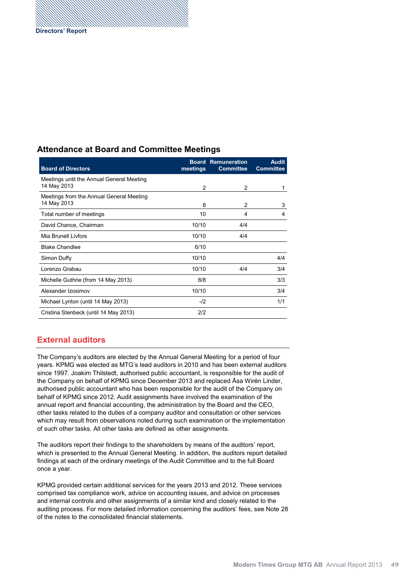## **Attendance at Board and Committee Meetings**

| <b>Board of Directors</b>                                | meetings | <b>Board Remuneration</b><br><b>Committee</b> | <b>Audit</b><br><b>Committee</b> |
|----------------------------------------------------------|----------|-----------------------------------------------|----------------------------------|
| Meetings until the Annual General Meeting<br>14 May 2013 | 2        | 2                                             | 1                                |
| Meetings from the Annual General Meeting<br>14 May 2013  | 8        | 2                                             | 3                                |
| Total number of meetings                                 | 10       | 4                                             | 4                                |
| David Chance, Chairman                                   | 10/10    | 4/4                                           |                                  |
| Mia Brunell Livfors                                      | 10/10    | 4/4                                           |                                  |
| <b>Blake Chandlee</b>                                    | 6/10     |                                               |                                  |
| Simon Duffy                                              | 10/10    |                                               | 4/4                              |
| Lorenzo Grabau                                           | 10/10    | 4/4                                           | 3/4                              |
| Michelle Guthrie (from 14 May 2013)                      | 8/8      |                                               | 3/3                              |
| Alexander Izosimov                                       | 10/10    |                                               | 3/4                              |
| Michael Lynton (until 14 May 2013)                       | $-12$    |                                               | 1/1                              |
| Cristina Stenbeck (until 14 May 2013)                    | 2/2      |                                               |                                  |

## **External auditors**

The Company's auditors are elected by the Annual General Meeting for a period of four years. KPMG was elected as MTG's lead auditors in 2010 and has been external auditors since 1997. Joakim Thilstedt, authorised public accountant, is responsible for the audit of the Company on behalf of KPMG since December 2013 and replaced Åsa Wirén Linder, authorised public accountant who has been responsible for the audit of the Company on behalf of KPMG since 2012. Audit assignments have involved the examination of the annual report and financial accounting, the administration by the Board and the CEO, other tasks related to the duties of a company auditor and consultation or other services which may result from observations noted during such examination or the implementation of such other tasks. All other tasks are defined as other assignments.

The auditors report their findings to the shareholders by means of the auditors' report, which is presented to the Annual General Meeting. In addition, the auditors report detailed findings at each of the ordinary meetings of the Audit Committee and to the full Board once a year.

KPMG provided certain additional services for the years 2013 and 2012. These services comprised tax compliance work, advice on accounting issues, and advice on processes and internal controls and other assignments of a similar kind and closely related to the auditing process. For more detailed information concerning the auditors' fees, see Note of the notes to the consolidated financial statements.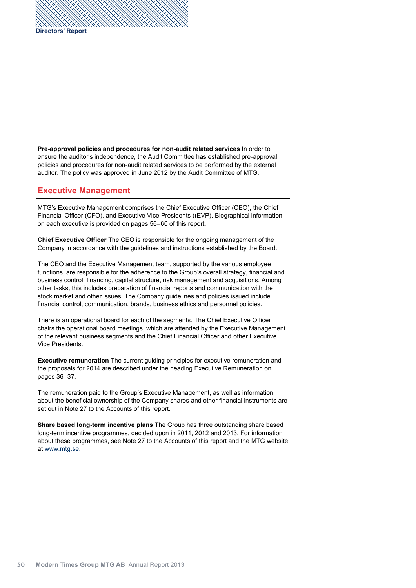**Pre-approval policies and procedures for non-audit related services** In order to ensure the auditor's independence, the Audit Committee has established pre-approval policies and procedures for non-audit related services to be performed by the external auditor. The policy was approved in June 2012 by the Audit Committee of MTG.

#### **Executive Management**

MTG's Executive Management comprises the Chief Executive Officer CEO , the Chief Financial Officer (CFO), and Executive Vice Presidents ((EVP). Biographical information on each executive is provided on pages 56–60 of this report.

**Chief Executive Officer** The CEO is responsible for the ongoing management of the Company in accordance with the guidelines and instructions established by the Board.

The CEO and the Executive Management team, supported by the various employee functions, are responsible for the adherence to the Group's overall strategy, financial and business control, financing, capital structure, risk management and acquisitions. Among other tasks, this includes preparation of financial reports and communication with the stock market and other issues. The Company guidelines and policies issued include financial control, communication, brands, business ethics and personnel policies.

There is an operational board for each of the segments. The Chief Executive Officer chairs the operational board meetings, which are attended by the Executive Management of the relevant business segments and the Chief Financial Officer and other Executive Vice Presidents.

**Executive remuneration** The current guiding principles for executive remuneration and the proposals for 2014 are described under the heading Executive Remuneration on pages 36-37.

The remuneration paid to the Group's Executive Management, as well as information about the beneficial ownership of the Company shares and other financial instruments are set out in Note 27 to the Accounts of this report.

**Share based long-term incentive plans** The Group has three outstanding share based long-term incentive programmes, decided upon in 2011, 2012 and 2013. For information about these programmes, see Note 27 to the Accounts of this report and the MTG website at www.mtg.se.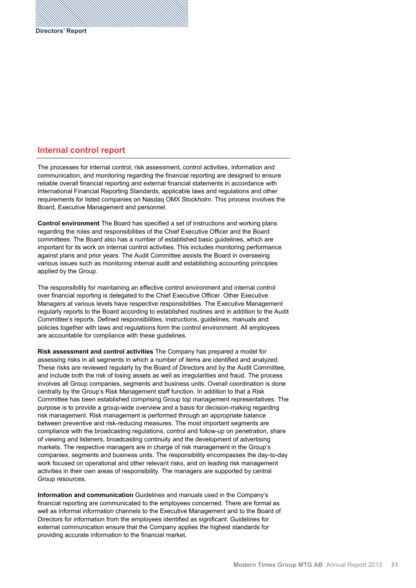## **Internal control report**

The processes for internal control, risk assessment, control activities, information and communication, and monitoring regarding the financial reporting are designed to ensure reliable overall financial reporting and external financial statements in accordance with International Financial Reporting Standards, applicable laws and regulations and other requirements for listed companies on Nasdaq OMX Stockholm. This process involves the Board, Executive Management and personnel.

**Control environment** The Board has specified a set of instructions and working plans regarding the roles and responsibilities of the Chief Executive Officer and the Board committees. The Board also has a number of established basic guidelines, which are important for its work on internal control activities. This includes monitoring performance against plans and prior years. The Audit Committee assists the Board in overseeing various issues such as monitoring internal audit and establishing accounting principles applied by the Group.

The responsibility for maintaining an effective control environment and internal control over financial reporting is delegated to the Chief Executive Officer. Other Executive Managers at various levels have respective responsibilities. The Executive Management regularly reports to the Board according to established routines and in addition to the Audit Committee's reports. Defined responsibilities, instructions, guidelines, manuals and policies together with laws and regulations form the control environment. All employees are accountable for compliance with these guidelines.

**Risk assessment and control activities** The Company has prepared a model for assessing risks in all segments in which a number of items are identified and analyzed. These risks are reviewed regularly by the Board of Directors and by the Audit Committee, and include both the risk of losing assets as well as irregularities and fraud. The process involves all Group companies, segments and business units. Overall coordination is done centrally by the Group's Risk Management staff function. In addition to that a Risk Committee has been established comprising Group top management representatives. The purpose is to provide a group-wide overview and a basis for decision-making regarding risk management. Risk management is performed through an appropriate balance between preventive and risk-reducing measures. The most important segments are compliance with the broadcasting regulations, control and follow-up on penetration, share of viewing and listeners, broadcasting continuity and the development of advertising markets. The respective managers are in charge of risk management in the Group's companies, segments and business units. The responsibility encompasses the day-to-day work focused on operational and other relevant risks, and on leading risk management activities in their own areas of responsibility. The managers are supported by central Group resources.

**Information and communication** Guidelines and manuals used in the Company's financial reporting are communicated to the employees concerned. There are formal as well as informal information channels to the Executive Management and to the Board of Directors for information from the employees identified as significant. Guidelines for external communication ensure that the Company applies the highest standards for providing accurate information to the financial market.